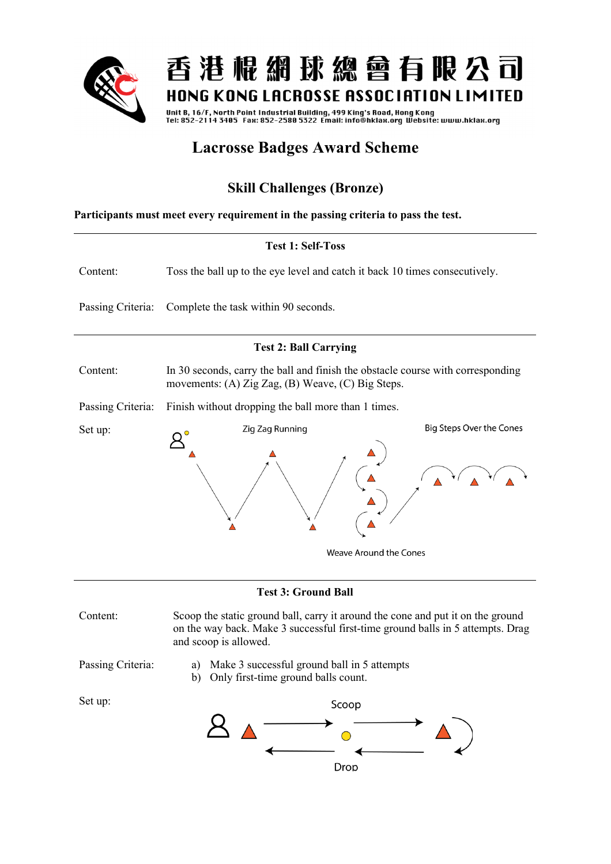

Unit B, 16/F, North Point Industrial Building, 499 King's Road, Hong Kong<br>Tel: 852-2114 3405 Fax: 852-2580 5322 Email: info@hklax.org Website: www.hklax.org

## **Lacrosse Badges Award Scheme**

## **Skill Challenges (Bronze)**

**Participants must meet every requirement in the passing criteria to pass the test.** 



on the way back. Make 3 successful first-time ground balls in 5 attempts. Drag and scoop is allowed.

- 
- Passing Criteria: a) Make 3 successful ground ball in 5 attempts

Set up:

b) Only first-time ground balls count.

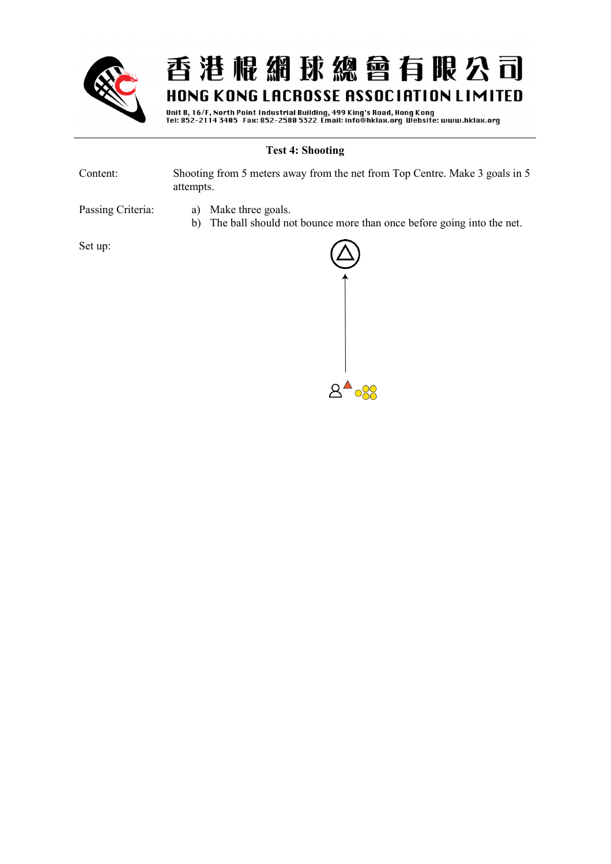

Unit B, 16/F, North Point Industrial Building, 499 King's Road, Hong Kong<br>Tel: 852–2114 3405 Fax: 852–2580 5322 Email: info@hklax.org Website: www.hklax.org

#### **Test 4: Shooting**

| Content: | Shooting from 5 meters away from the net from Top Centre. Make 3 goals in 5 |
|----------|-----------------------------------------------------------------------------|
|          | attempts.                                                                   |

- Passing Criteria: a) Make three goals.
	- b) The ball should not bounce more than once before going into the net.

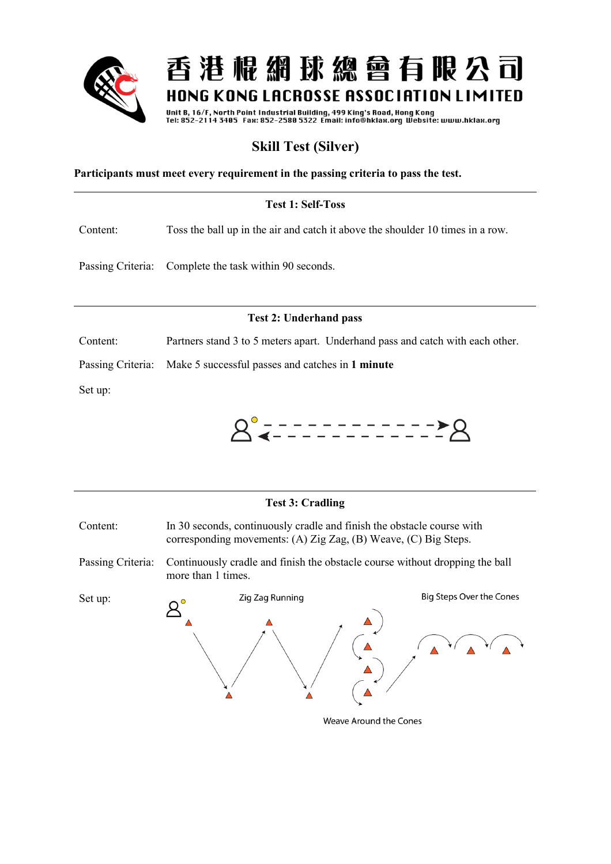

Unit B, 16/F, North Point Industrial Building, 499 King's Road, Hong Kong<br>Tel: 852-2114 3405 Fax: 852-2580 5322 Email: info@hklax.org Website: www.hklax.org

## **Skill Test (Silver)**

**Participants must meet every requirement in the passing criteria to pass the test.** 

### **Test 1: Self-Toss**

Content: Toss the ball up in the air and catch it above the shoulder 10 times in a row.

Passing Criteria: Complete the task within 90 seconds.

#### **Test 2: Underhand pass**

Content: Partners stand 3 to 5 meters apart. Underhand pass and catch with each other.

Passing Criteria: Make 5 successful passes and catches in **1 minute**

Set up:



# **Test 3: Cradling** Content: In 30 seconds, continuously cradle and finish the obstacle course with corresponding movements: (A) Zig Zag, (B) Weave, (C) Big Steps. Passing Criteria: Continuously cradle and finish the obstacle course without dropping the ball more than 1 times. **Big Steps Over the Cones** Zig Zag Running Set up:

Weave Around the Cones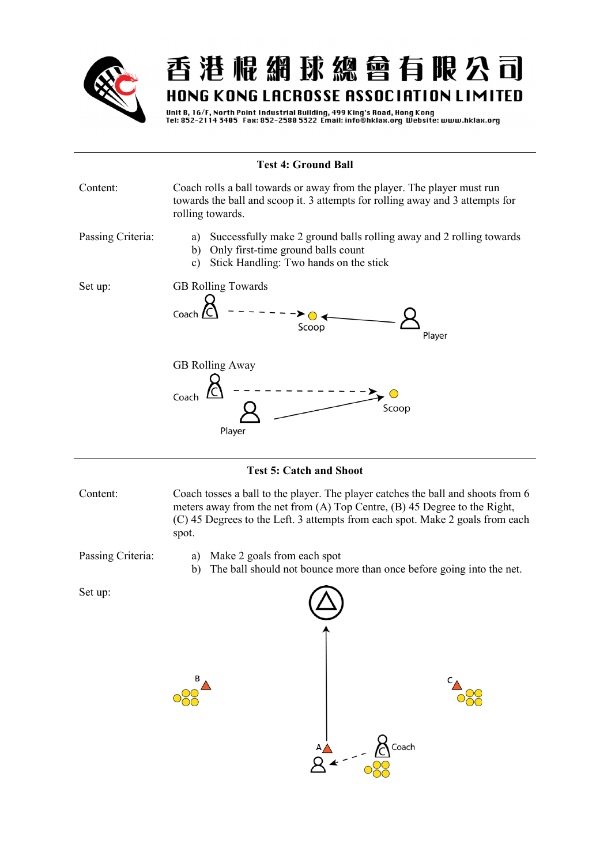

Unit B, 16/F, North Point Industrial Building, 499 King's Road, Hong Kong<br>Tel: 852-2114 3405 Fax: 852-2580 5322 Email: info@hklax.org Website: www.hklax.org

## **Test 4: Ground Ball**  Content: Coach rolls a ball towards or away from the player. The player must run towards the ball and scoop it. 3 attempts for rolling away and 3 attempts for rolling towards. Passing Criteria: a) Successfully make 2 ground balls rolling away and 2 rolling towards b) Only first-time ground balls count c) Stick Handling: Two hands on the stick Set up: GB Rolling Towards Coach  $\sqrt{C}$ Scoop Plaver GB Rolling Away Coach  $\bigcirc$ Scoop Player

#### **Test 5: Catch and Shoot**

Content: Coach tosses a ball to the player. The player catches the ball and shoots from 6 meters away from the net from (A) Top Centre, (B) 45 Degree to the Right, (C) 45 Degrees to the Left. 3 attempts from each spot. Make 2 goals from each spot.

- Passing Criteria: a) Make 2 goals from each spot
	- b) The ball should not bounce more than once before going into the net.



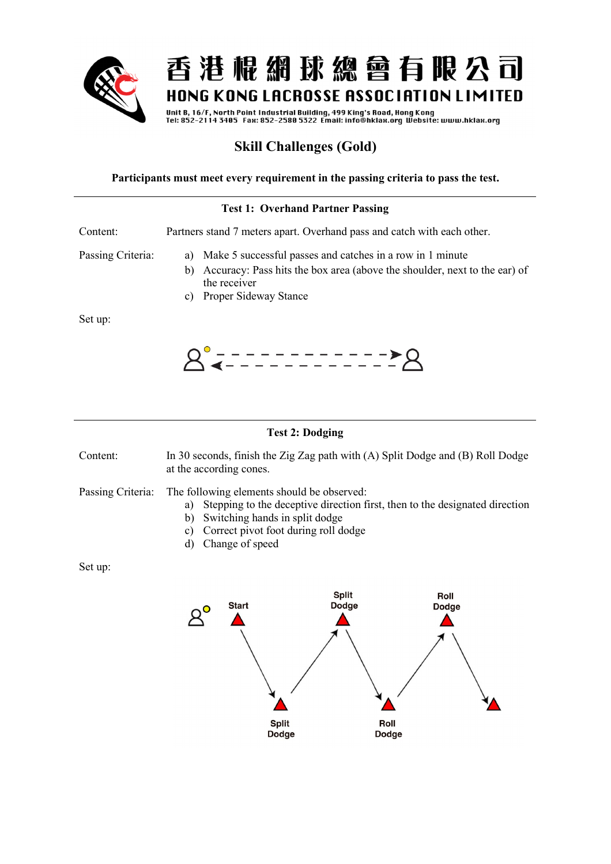

Unit B, 16/F, North Point Industrial Building, 499 King's Road, Hong Kong<br>Tel: 852-2114 3405 Fax: 852-2580 5322 Email: info@hklax.org Website: www.hklax.org

## **Skill Challenges (Gold)**

#### **Participants must meet every requirement in the passing criteria to pass the test.**

## **Test 1: Overhand Partner Passing** Content: Partners stand 7 meters apart. Overhand pass and catch with each other. Passing Criteria: a) Make 5 successful passes and catches in a row in 1 minute b) Accuracy: Pass hits the box area (above the shoulder, next to the ear) of the receiver c) Proper Sideway Stance Set up:



### **Test 2: Dodging**

Content: In 30 seconds, finish the Zig Zag path with (A) Split Dodge and (B) Roll Dodge at the according cones.

Passing Criteria: The following elements should be observed:

- a) Stepping to the deceptive direction first, then to the designated direction
- b) Switching hands in split dodge
- c) Correct pivot foot during roll dodge
- d) Change of speed

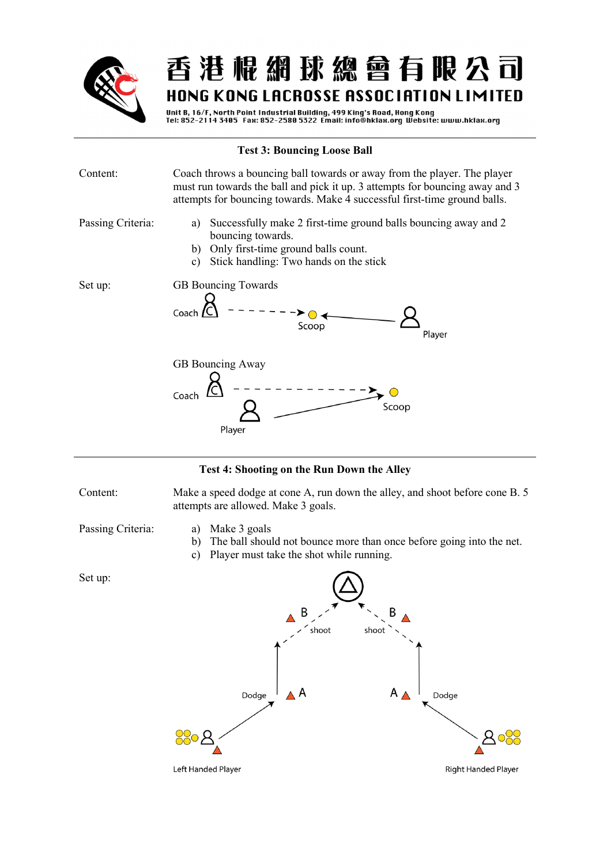

Unit B, 16/F, North Point Industrial Building, 499 King's Road, Hong Kong<br>Tel: 852-2114 3405 Fax: 852-2580 5322 Email: info@hklax.org Website: www.hklax.org

| <b>Test 3: Bouncing Loose Ball</b> |                                                                                                                                                                                                                                       |
|------------------------------------|---------------------------------------------------------------------------------------------------------------------------------------------------------------------------------------------------------------------------------------|
| Content:                           | Coach throws a bouncing ball towards or away from the player. The player<br>must run towards the ball and pick it up. 3 attempts for bouncing away and 3<br>attempts for bouncing towards. Make 4 successful first-time ground balls. |
| Passing Criteria:                  | Successfully make 2 first-time ground balls bouncing away and 2<br>a)<br>bouncing towards.<br>Only first-time ground balls count.<br>b)<br>Stick handling: Two hands on the stick<br>c)                                               |
| Set up:                            | GB Bouncing Towards<br>Coach<br>Scoop<br>Player                                                                                                                                                                                       |
|                                    | GB Bouncing Away<br>Coach<br>Scoop<br>Player                                                                                                                                                                                          |

#### **Test 4: Shooting on the Run Down the Alley**

Content: Make a speed dodge at cone A, run down the alley, and shoot before cone B. 5 attempts are allowed. Make 3 goals.

- 
- Passing Criteria: a) Make 3 goals
	- b) The ball should not bounce more than once before going into the net.
	- c) Player must take the shot while running.

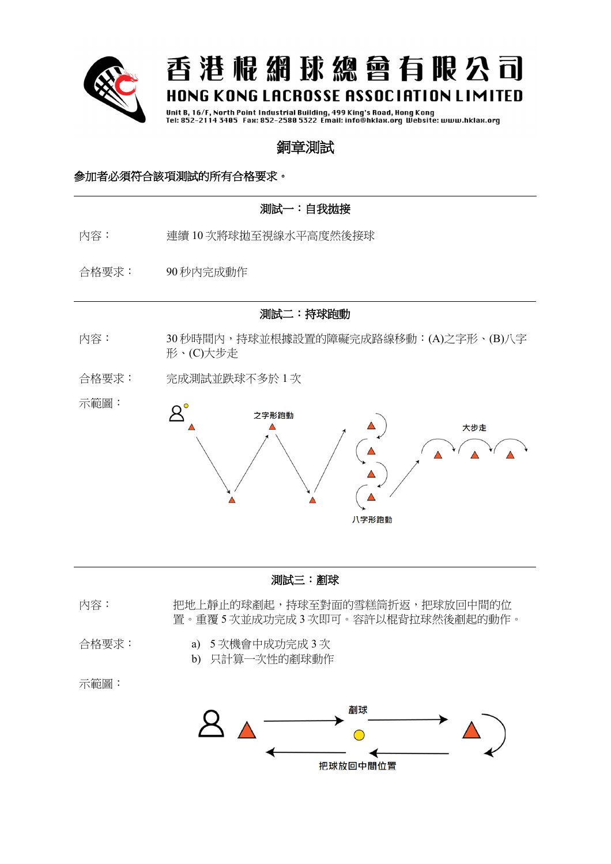

Unit B, 16/F, North Point Industrial Building, 499 King's Road, Hong Kong<br>Tel: 852-2114 3405 Fax: 852-2580 5322 Email: info@hklax.org Website: www.hklax.org

## 銅章測試

### 參加者必須符合該項測試的所有合格要求。

### 測試一:自我拋接

- 內容: 連續 10 次將球拋至視線水平高度然後接球
- 合格要求: 90 秒內完成動作

測試二:持球跑動

- 內容: 30 秒時間內,持球並根據設置的障礙完成路線移動:(A)之字形、(B)八字 形、(C)大步走
- 合格要求: 完成測試並跌球不多於 1 次



#### 測試三:剷球

- 內容: 把地上靜止的球剷起,持球至對面的雪糕筒折返,把球放回中間的位 置。重覆 5 次並成功完成 3 次即可。容許以棍背拉球然後剷起的動作。
- 合格要求: a) 5 次機會中成功完成 3 次
	- b) 只計算一次性的剷球動作
- 示範圖:

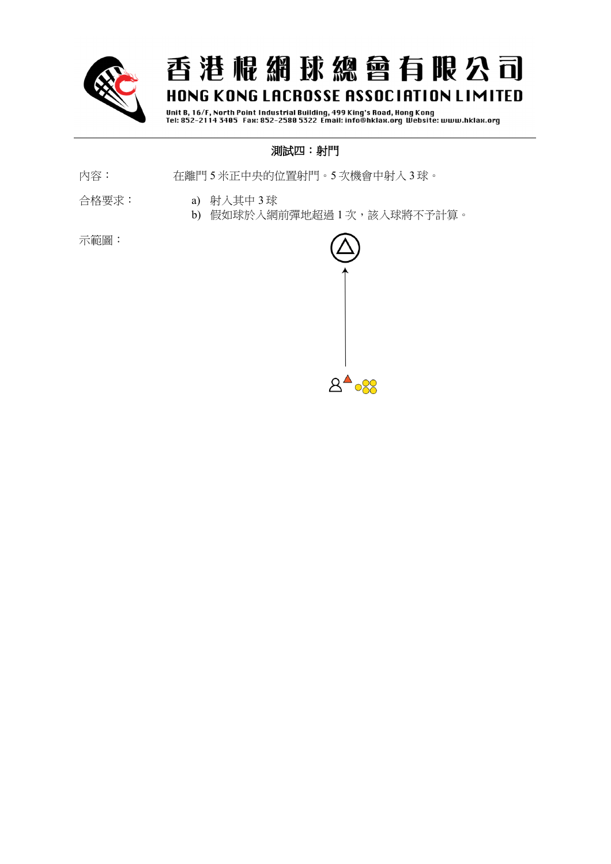

Unit B, 16/F, North Point Industrial Building, 499 King's Road, Hong Kong<br>Tel: 852-2114 3405 Fax: 852-2580 5322 Email: info@hklax.org Website: www.hklax.org

### 測試四:射門

- 內容: 在離門 5 米正中央的位置射門。5 次機會中射入 3 球。
- 合格要求: a) 射入其中 3 球
	- b) 假如球於入網前彈地超過 1 次,該入球將不予計算。

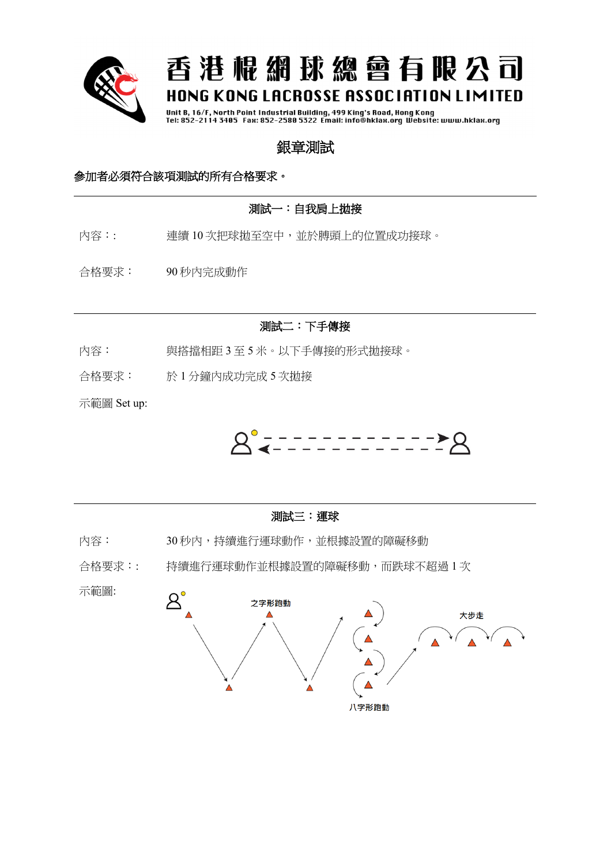

Unit B, 16/F, North Point Industrial Building, 499 King's Road, Hong Kong<br>Tel: 852–2114 3405 Fax: 852–2580 5322 Email: info@hklax.org Website: www.hklax.org

## 銀章測試

### 參加者必須符合該項測試的所有合格要求。

### 測試一:自我肩上拋接

- 內容:: 連續 10 次把球拋至空中,並於膊頭上的位置成功接球。
- 合格要求: 90 秒內完成動作

### 測試二:下手傳接

- 內容: 與搭擋相距 3 至 5 米。以下手傳接的形式拋接球。
- 合格要求: 於 1 分鐘內成功完成 5 次拋接

示範圖 Set up:



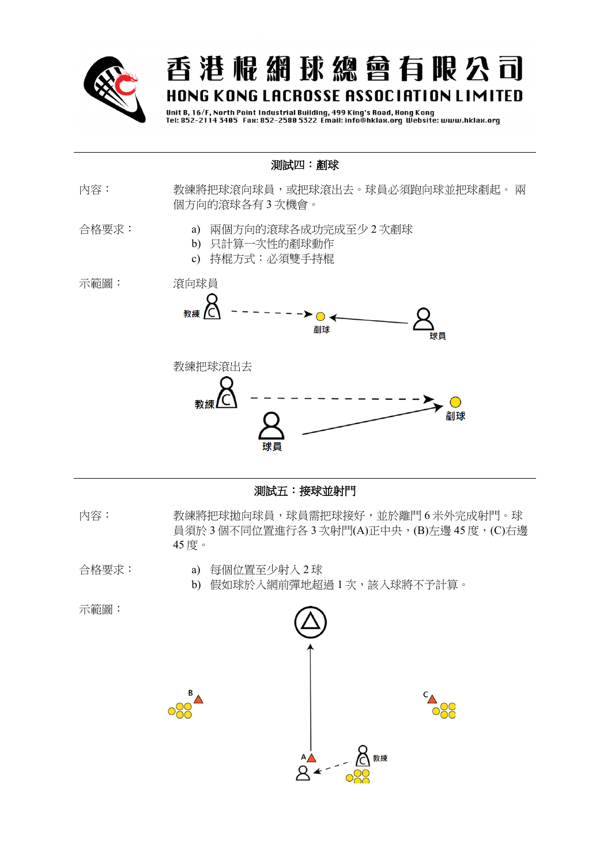

Unit B, 16/F, North Point Industrial Building, 499 King's Road, Hong Kong<br>Tel: 852–2114 3405 Fax: 852–2580 5322 Email: info@hklax.org Website: www.hklax.org

### 測試四:剷球

- 內容: 教練將把球滾向球員,或把球滾出去。球員必須跑向球並把球剷起。 兩 個方向的滾球各有 3 次機會。
- 合格要求: a) 兩個方向的滾球各成功完成至少 2 次剷球
	- b) 只計算一次性的剷球動作
	- c) 持棍方式:必須雙手持棍







#### 測試五:接球並射門

- 內容: 教練將把球拋向球員,球員需把球接好,並於離門 6 米外完成射門。球 員須於 3 個不同位置進行各 3 次射門(A)正中央, (B)左邊 45 度, (C)右邊 45 度。
- 合格要求: a) 每個位置至少射入 2 球
	- b) 假如球於入網前彈地超過 1 次,該入球將不予計算。

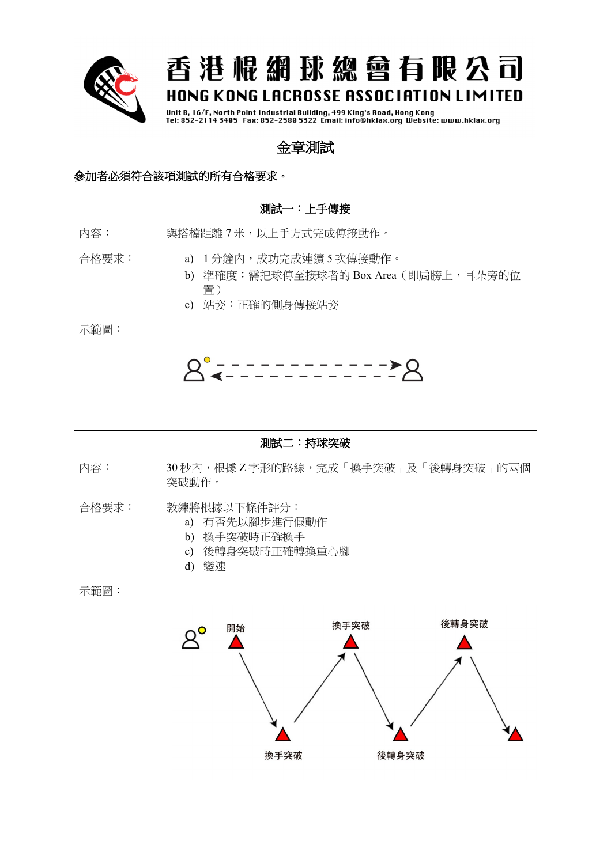

Unit B, 16/F, North Point Industrial Building, 499 King's Road, Hong Kong<br>Tel: 852-2114 3405 Fax: 852-2580 5322 Email: info@hklax.org Website: www.hklax.org

### 金章測試

### 參加者必須符合該項測試的所有合格要求。

### 測試一:上手傳接

內容: 與搭檔距離 7 米,以上手方式完成傳接動作。

合格要求: a) 1 分鐘內,成功完成連續 5 次傳接動作。

- b) 準確度: 需把球傳至接球者的 Box Area (即肩膀上, 耳朵旁的位 置)
- c) 站姿:正確的側身傳接站姿

示範圖:



#### 測試二:持球突破

內容: 30 秒內,根據 Z 字形的路線,完成「換手突破」及「後轉身突破」的兩個 突破動作。

- 合格要求: 教練將根據以下條件評分:
	- a) 有否先以腳步進行假動作
	- b) 換手突破時正確換手
	- c) 後轉身突破時正確轉換重心腳
	- d) 變速